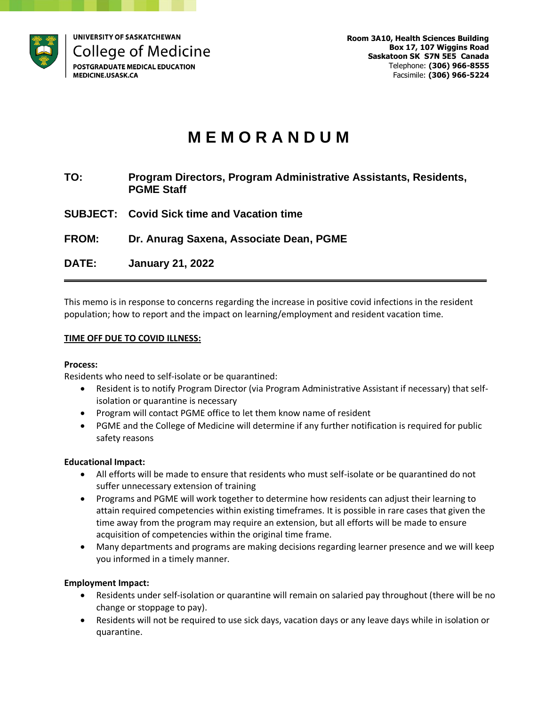

# **M E M O R A N D U M**

- **TO: Program Directors, Program Administrative Assistants, Residents, PGME Staff**
- **SUBJECT: Covid Sick time and Vacation time**

**FROM: Dr. Anurag Saxena, Associate Dean, PGME**

**DATE: January 21, 2022**

This memo is in response to concerns regarding the increase in positive covid infections in the resident population; how to report and the impact on learning/employment and resident vacation time.

**\_\_\_\_\_\_\_\_\_\_\_\_\_\_\_\_\_\_\_\_\_\_\_\_\_\_\_\_\_\_\_\_\_\_\_\_\_\_\_\_\_\_\_\_\_\_\_\_\_\_\_\_\_\_\_\_\_\_\_\_\_\_\_\_\_\_\_\_\_\_\_**

## **TIME OFF DUE TO COVID ILLNESS:**

### **Process:**

Residents who need to self-isolate or be quarantined:

- Resident is to notify Program Director (via Program Administrative Assistant if necessary) that selfisolation or quarantine is necessary
- Program will contact PGME office to let them know name of resident
- PGME and the College of Medicine will determine if any further notification is required for public safety reasons

### **Educational Impact:**

- All efforts will be made to ensure that residents who must self-isolate or be quarantined do not suffer unnecessary extension of training
- Programs and PGME will work together to determine how residents can adjust their learning to attain required competencies within existing timeframes. It is possible in rare cases that given the time away from the program may require an extension, but all efforts will be made to ensure acquisition of competencies within the original time frame.
- Many departments and programs are making decisions regarding learner presence and we will keep you informed in a timely manner.

### **Employment Impact:**

- Residents under self-isolation or quarantine will remain on salaried pay throughout (there will be no change or stoppage to pay).
- Residents will not be required to use sick days, vacation days or any leave days while in isolation or quarantine.